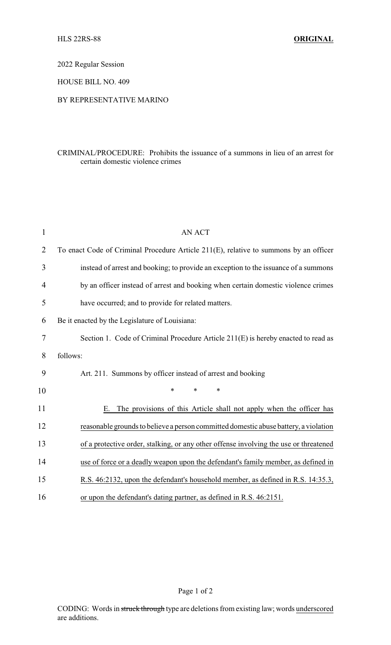2022 Regular Session

HOUSE BILL NO. 409

## BY REPRESENTATIVE MARINO

## CRIMINAL/PROCEDURE: Prohibits the issuance of a summons in lieu of an arrest for certain domestic violence crimes

| $\mathbf{1}$   | <b>AN ACT</b>                                                                         |
|----------------|---------------------------------------------------------------------------------------|
| $\overline{2}$ | To enact Code of Criminal Procedure Article 211(E), relative to summons by an officer |
| 3              | instead of arrest and booking; to provide an exception to the issuance of a summons   |
| 4              | by an officer instead of arrest and booking when certain domestic violence crimes     |
| 5              | have occurred; and to provide for related matters.                                    |
| 6              | Be it enacted by the Legislature of Louisiana:                                        |
| 7              | Section 1. Code of Criminal Procedure Article 211(E) is hereby enacted to read as     |
| 8              | follows:                                                                              |
| 9              | Art. 211. Summons by officer instead of arrest and booking                            |
| 10             | $\ast$<br>*<br>*                                                                      |
| 11             | The provisions of this Article shall not apply when the officer has<br>Е.             |
| 12             | reasonable grounds to believe a person committed domestic abuse battery, a violation  |
| 13             | of a protective order, stalking, or any other offense involving the use or threatened |
| 14             | use of force or a deadly weapon upon the defendant's family member, as defined in     |
| 15             | R.S. 46:2132, upon the defendant's household member, as defined in R.S. 14:35.3,      |
| 16             | or upon the defendant's dating partner, as defined in R.S. 46:2151.                   |

Page 1 of 2